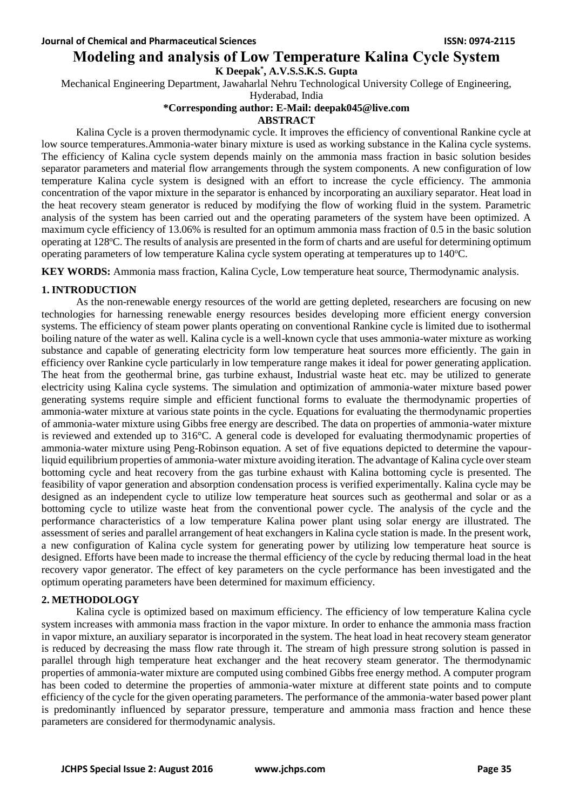# **Modeling and analysis of Low Temperature Kalina Cycle System**

**K Deepak\* , A.V.S.S.K.S. Gupta**

Mechanical Engineering Department, Jawaharlal Nehru Technological University College of Engineering,

Hyderabad, India

## **\*Corresponding author: E-Mail: [deepak045@live.com](mailto:deepak045@live.com)**

#### **ABSTRACT**

Kalina Cycle is a proven thermodynamic cycle. It improves the efficiency of conventional Rankine cycle at low source temperatures.Ammonia-water binary mixture is used as working substance in the Kalina cycle systems. The efficiency of Kalina cycle system depends mainly on the ammonia mass fraction in basic solution besides separator parameters and material flow arrangements through the system components. A new configuration of low temperature Kalina cycle system is designed with an effort to increase the cycle efficiency. The ammonia concentration of the vapor mixture in the separator is enhanced by incorporating an auxiliary separator. Heat load in the heat recovery steam generator is reduced by modifying the flow of working fluid in the system. Parametric analysis of the system has been carried out and the operating parameters of the system have been optimized. A maximum cycle efficiency of 13.06% is resulted for an optimum ammonia mass fraction of 0.5 in the basic solution operating at 128°C. The results of analysis are presented in the form of charts and are useful for determining optimum operating parameters of low temperature Kalina cycle system operating at temperatures up to  $140^{\circ}$ C.

**KEY WORDS:** Ammonia mass fraction, Kalina Cycle, Low temperature heat source, Thermodynamic analysis.

## **1. INTRODUCTION**

As the non-renewable energy resources of the world are getting depleted, researchers are focusing on new technologies for harnessing renewable energy resources besides developing more efficient energy conversion systems. The efficiency of steam power plants operating on conventional Rankine cycle is limited due to isothermal boiling nature of the water as well. Kalina cycle is a well-known cycle that uses ammonia-water mixture as working substance and capable of generating electricity form low temperature heat sources more efficiently. The gain in efficiency over Rankine cycle particularly in low temperature range makes it ideal for power generating application. The heat from the geothermal brine, gas turbine exhaust, Industrial waste heat etc. may be utilized to generate electricity using Kalina cycle systems. The simulation and optimization of ammonia-water mixture based power generating systems require simple and efficient functional forms to evaluate the thermodynamic properties of ammonia-water mixture at various state points in the cycle. Equations for evaluating the thermodynamic properties of ammonia-water mixture using Gibbs free energy are described. The data on properties of ammonia-water mixture is reviewed and extended up to 316°C. A general code is developed for evaluating thermodynamic properties of ammonia-water mixture using Peng-Robinson equation. A set of five equations depicted to determine the vapourliquid equilibrium properties of ammonia-water mixture avoiding iteration. The advantage of Kalina cycle over steam bottoming cycle and heat recovery from the gas turbine exhaust with Kalina bottoming cycle is presented. The feasibility of vapor generation and absorption condensation process is verified experimentally. Kalina cycle may be designed as an independent cycle to utilize low temperature heat sources such as geothermal and solar or as a bottoming cycle to utilize waste heat from the conventional power cycle. The analysis of the cycle and the performance characteristics of a low temperature Kalina power plant using solar energy are illustrated. The assessment of series and parallel arrangement of heat exchangers in Kalina cycle station is made. In the present work, a new configuration of Kalina cycle system for generating power by utilizing low temperature heat source is designed. Efforts have been made to increase the thermal efficiency of the cycle by reducing thermal load in the heat recovery vapor generator. The effect of key parameters on the cycle performance has been investigated and the optimum operating parameters have been determined for maximum efficiency.

## **2. METHODOLOGY**

Kalina cycle is optimized based on maximum efficiency. The efficiency of low temperature Kalina cycle system increases with ammonia mass fraction in the vapor mixture. In order to enhance the ammonia mass fraction in vapor mixture, an auxiliary separator is incorporated in the system. The heat load in heat recovery steam generator is reduced by decreasing the mass flow rate through it. The stream of high pressure strong solution is passed in parallel through high temperature heat exchanger and the heat recovery steam generator. The thermodynamic properties of ammonia-water mixture are computed using combined Gibbs free energy method. A computer program has been coded to determine the properties of ammonia-water mixture at different state points and to compute efficiency of the cycle for the given operating parameters. The performance of the ammonia-water based power plant is predominantly influenced by separator pressure, temperature and ammonia mass fraction and hence these parameters are considered for thermodynamic analysis.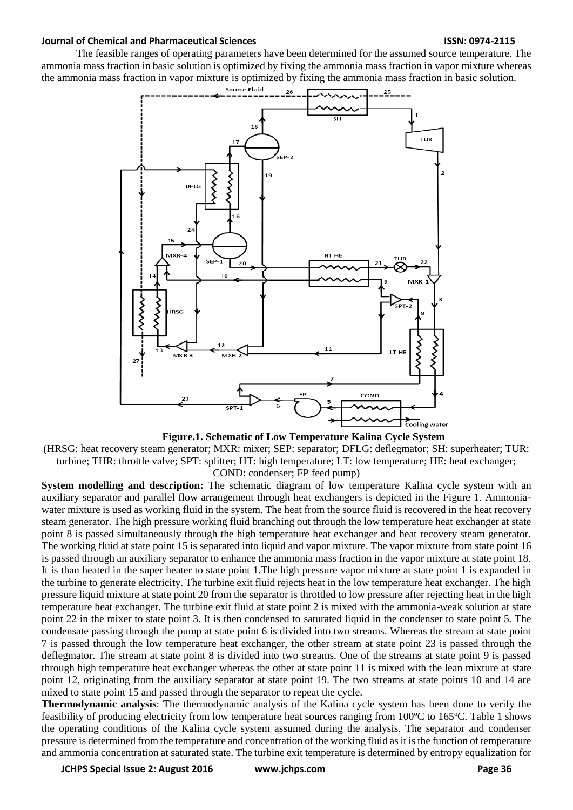The feasible ranges of operating parameters have been determined for the assumed source temperature. The ammonia mass fraction in basic solution is optimized by fixing the ammonia mass fraction in vapor mixture whereas the ammonia mass fraction in vapor mixture is optimized by fixing the ammonia mass fraction in basic solution.



**Figure.1. Schematic of Low Temperature Kalina Cycle System** 

(HRSG: heat recovery steam generator; MXR: mixer; SEP: separator; DFLG: deflegmator; SH: superheater; TUR: turbine; THR: throttle valve; SPT: splitter; HT: high temperature; LT: low temperature; HE: heat exchanger; COND: condenser; FP feed pump)

**System modelling and description:** The schematic diagram of low temperature Kalina cycle system with an auxiliary separator and parallel flow arrangement through heat exchangers is depicted in the Figure 1. Ammoniawater mixture is used as working fluid in the system. The heat from the source fluid is recovered in the heat recovery steam generator. The high pressure working fluid branching out through the low temperature heat exchanger at state point 8 is passed simultaneously through the high temperature heat exchanger and heat recovery steam generator. The working fluid at state point 15 is separated into liquid and vapor mixture. The vapor mixture from state point 16 is passed through an auxiliary separator to enhance the ammonia mass fraction in the vapor mixture at state point 18. It is than heated in the super heater to state point 1.The high pressure vapor mixture at state point 1 is expanded in the turbine to generate electricity. The turbine exit fluid rejects heat in the low temperature heat exchanger. The high pressure liquid mixture at state point 20 from the separator is throttled to low pressure after rejecting heat in the high temperature heat exchanger. The turbine exit fluid at state point 2 is mixed with the ammonia-weak solution at state point 22 in the mixer to state point 3. It is then condensed to saturated liquid in the condenser to state point 5. The condensate passing through the pump at state point 6 is divided into two streams. Whereas the stream at state point 7 is passed through the low temperature heat exchanger, the other stream at state point 23 is passed through the deflegmator. The stream at state point 8 is divided into two streams. One of the streams at state point 9 is passed through high temperature heat exchanger whereas the other at state point 11 is mixed with the lean mixture at state point 12, originating from the auxiliary separator at state point 19. The two streams at state points 10 and 14 are mixed to state point 15 and passed through the separator to repeat the cycle.

**Thermodynamic analysis**: The thermodynamic analysis of the Kalina cycle system has been done to verify the feasibility of producing electricity from low temperature heat sources ranging from 100 °C to 165 °C. Table 1 shows the operating conditions of the Kalina cycle system assumed during the analysis. The separator and condenser pressure is determined from the temperature and concentration of the working fluid as it is the function of temperature and ammonia concentration at saturated state. The turbine exit temperature is determined by entropy equalization for

**JCHPS Special Issue 2: August 2016 www.jchps.com Page 36**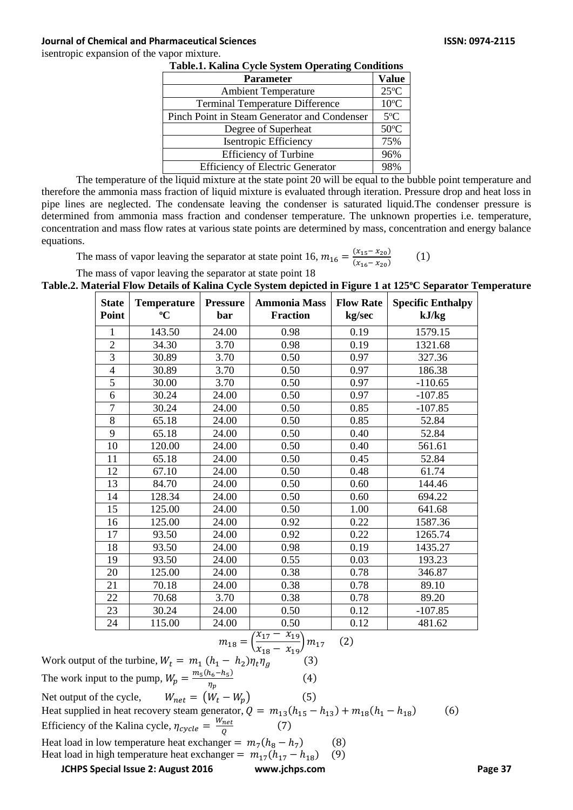isentropic expansion of the vapor mixture.

| Table.1. Kanna Cycle System Operating Conditions |                |
|--------------------------------------------------|----------------|
| <b>Parameter</b>                                 | <b>Value</b>   |
| <b>Ambient Temperature</b>                       | $25^{\circ}$ C |
| <b>Terminal Temperature Difference</b>           | $10^{\circ}$ C |
| Pinch Point in Steam Generator and Condenser     | $5^{\circ}$ C  |
| Degree of Superheat                              | $50^{\circ}$ C |
| <b>Isentropic Efficiency</b>                     | 75%            |
| <b>Efficiency of Turbine</b>                     | 96%            |
| <b>Efficiency of Electric Generator</b>          | 98%            |

|  |  | <b>Table.1. Kalina Cycle System Operating Conditions</b> |
|--|--|----------------------------------------------------------|
|--|--|----------------------------------------------------------|

The temperature of the liquid mixture at the state point 20 will be equal to the bubble point temperature and therefore the ammonia mass fraction of liquid mixture is evaluated through iteration. Pressure drop and heat loss in pipe lines are neglected. The condensate leaving the condenser is saturated liquid.The condenser pressure is determined from ammonia mass fraction and condenser temperature. The unknown properties i.e. temperature, concentration and mass flow rates at various state points are determined by mass, concentration and energy balance equations.

The mass of vapor leaving the separator at state point 16,  $m_{16} = \frac{(x_{15} - x_{20})}{(x_{15} - x_{20})}$  $(x_{16}- x_{20})$ (1)

The mass of vapor leaving the separator at state point 18

**Table.2. Material Flow Details of Kalina Cycle System depicted in Figure 1 at 125<sup>o</sup>C Separator Temperature**

| <b>State</b><br>Point | <b>Temperature</b><br>$\rm ^{o}C$ | <b>Pressure</b><br>bar | <b>Ammonia Mass</b><br><b>Fraction</b> | <b>Flow Rate</b><br>kg/sec | <b>Specific Enthalpy</b><br>kJ/kg |
|-----------------------|-----------------------------------|------------------------|----------------------------------------|----------------------------|-----------------------------------|
| 1                     | 143.50                            | 24.00                  | 0.98                                   | 0.19                       | 1579.15                           |
| $\overline{2}$        | 34.30                             | 3.70                   | 0.98                                   | 0.19                       | 1321.68                           |
| 3                     | 30.89                             | 3.70                   | 0.50                                   | 0.97                       | 327.36                            |
| $\overline{4}$        | 30.89                             | 3.70                   | 0.50                                   | 0.97                       | 186.38                            |
| 5                     | 30.00                             | 3.70                   | 0.50                                   | 0.97                       | $-110.65$                         |
| 6                     | 30.24                             | 24.00                  | 0.50                                   | 0.97                       | $-107.85$                         |
| 7                     | 30.24                             | 24.00                  | 0.50                                   | 0.85                       | $-107.85$                         |
| 8                     | 65.18                             | 24.00                  | 0.50                                   | 0.85                       | 52.84                             |
| 9                     | 65.18                             | 24.00                  | 0.50                                   | 0.40                       | 52.84                             |
| 10                    | 120.00                            | 24.00                  | 0.50                                   | 0.40                       | 561.61                            |
| 11                    | 65.18                             | 24.00                  | 0.50                                   | 0.45                       | 52.84                             |
| 12                    | 67.10                             | 24.00                  | 0.50                                   | 0.48                       | 61.74                             |
| 13                    | 84.70                             | 24.00                  | 0.50                                   | 0.60                       | 144.46                            |
| 14                    | 128.34                            | 24.00                  | 0.50                                   | 0.60                       | 694.22                            |
| 15                    | 125.00                            | 24.00                  | 0.50                                   | 1.00                       | 641.68                            |
| 16                    | 125.00                            | 24.00                  | 0.92                                   | 0.22                       | 1587.36                           |
| 17                    | 93.50                             | 24.00                  | 0.92                                   | 0.22                       | 1265.74                           |
| 18                    | 93.50                             | 24.00                  | 0.98                                   | 0.19                       | 1435.27                           |
| 19                    | 93.50                             | 24.00                  | 0.55                                   | 0.03                       | 193.23                            |
| 20                    | 125.00                            | 24.00                  | 0.38                                   | 0.78                       | 346.87                            |
| 21                    | 70.18                             | 24.00                  | 0.38                                   | 0.78                       | 89.10                             |
| 22                    | 70.68                             | 3.70                   | 0.38                                   | 0.78                       | 89.20                             |
| 23                    | 30.24                             | 24.00                  | 0.50                                   | 0.12                       | $-107.85$                         |
| 24                    | 115.00                            | 24.00                  | 0.50                                   | 0.12                       | 481.62                            |

$$
m_{18} = \left(\frac{x_{17} - x_{19}}{x_{18} - x_{19}}\right) m_{17} \qquad (2)
$$

**JCHPS Special Issue 2: August 2016 www.jchps.com Page 37** Work output of the turbine,  $W_t = m_1 (h_1 - h_2) \eta_t \eta_g$  (3) The work input to the pump,  $W_p = \frac{m_5(h_6 - h_5)}{n}$  $\eta_p$ (4) Net output of the cycle,  $W_{net} = (W_t - W_p)$  (5) Heat supplied in heat recovery steam generator,  $Q = m_{13}(h_{15} - h_{13}) + m_{18}(h_1 - h_{18})$  (6) Efficiency of the Kalina cycle,  $\eta_{cycle} = \frac{W_{net}}{Q}$  $\frac{net}{Q}$  (7) Heat load in low temperature heat exchanger  $= m_7(h_8 - h_7)$ ) (8) Heat load in high temperature heat exchanger =  $m_{17}(h_{17} - h_{18})$  (9)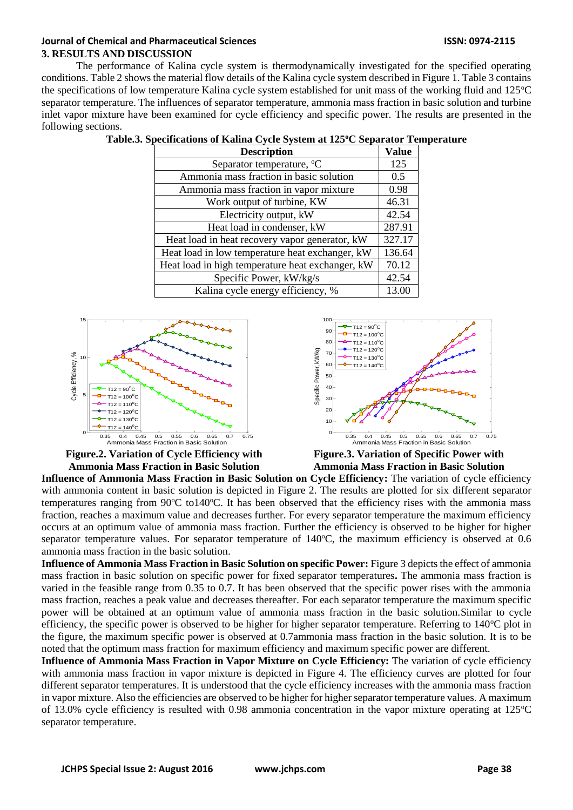### **Journal of Chemical and Pharmaceutical Sciences ISSN: 0974-2115 3. RESULTS AND DISCUSSION**

The performance of Kalina cycle system is thermodynamically investigated for the specified operating conditions. Table 2 shows the material flow details of the Kalina cycle system described in Figure 1. Table 3 contains the specifications of low temperature Kalina cycle system established for unit mass of the working fluid and  $125^{\circ}$ C separator temperature. The influences of separator temperature, ammonia mass fraction in basic solution and turbine inlet vapor mixture have been examined for cycle efficiency and specific power. The results are presented in the following sections.

| <b>Description</b>                               | Value  |
|--------------------------------------------------|--------|
| Separator temperature, <sup>o</sup> C            | 125    |
| Ammonia mass fraction in basic solution          | 0.5    |
| Ammonia mass fraction in vapor mixture           | 0.98   |
| Work output of turbine, KW                       | 46.31  |
| Electricity output, kW                           | 42.54  |
| Heat load in condenser, kW                       | 287.91 |
| Heat load in heat recovery vapor generator, kW   | 327.17 |
| Heat load in low temperature heat exchanger, kW  | 136.64 |
| Heat load in high temperature heat exchanger, kW | 70.12  |
| Specific Power, kW/kg/s                          | 42.54  |
| Kalina cycle energy efficiency, %                | 13.00  |

| Table.3. Specifications of Kalina Cycle System at 125°C Separator Temperature |  |  |  |
|-------------------------------------------------------------------------------|--|--|--|
|-------------------------------------------------------------------------------|--|--|--|





**Figure.2. Variation of Cycle Efficiency with Ammonia Mass Fraction in Basic Solution**

**Figure.3. Variation of Specific Power with Ammonia Mass Fraction in Basic Solution**

**Influence of Ammonia Mass Fraction in Basic Solution on Cycle Efficiency:** The variation of cycle efficiency with ammonia content in basic solution is depicted in Figure 2. The results are plotted for six different separator temperatures ranging from  $90^{\circ}$ C to140 $^{\circ}$ C. It has been observed that the efficiency rises with the ammonia mass fraction, reaches a maximum value and decreases further. For every separator temperature the maximum efficiency occurs at an optimum value of ammonia mass fraction. Further the efficiency is observed to be higher for higher separator temperature values. For separator temperature of  $140^{\circ}$ C, the maximum efficiency is observed at 0.6 ammonia mass fraction in the basic solution.

**Influence of Ammonia Mass Fraction in Basic Solution on specific Power:** Figure 3 depicts the effect of ammonia mass fraction in basic solution on specific power for fixed separator temperatures**.** The ammonia mass fraction is varied in the feasible range from 0.35 to 0.7. It has been observed that the specific power rises with the ammonia mass fraction, reaches a peak value and decreases thereafter. For each separator temperature the maximum specific power will be obtained at an optimum value of ammonia mass fraction in the basic solution.Similar to cycle efficiency, the specific power is observed to be higher for higher separator temperature. Referring to 140°C plot in the figure, the maximum specific power is observed at 0.7ammonia mass fraction in the basic solution. It is to be noted that the optimum mass fraction for maximum efficiency and maximum specific power are different.

**Influence of Ammonia Mass Fraction in Vapor Mixture on Cycle Efficiency:** The variation of cycle efficiency with ammonia mass fraction in vapor mixture is depicted in Figure 4. The efficiency curves are plotted for four different separator temperatures. It is understood that the cycle efficiency increases with the ammonia mass fraction in vapor mixture. Also the efficiencies are observed to be higher for higher separator temperature values. A maximum of 13.0% cycle efficiency is resulted with 0.98 ammonia concentration in the vapor mixture operating at 125°C separator temperature.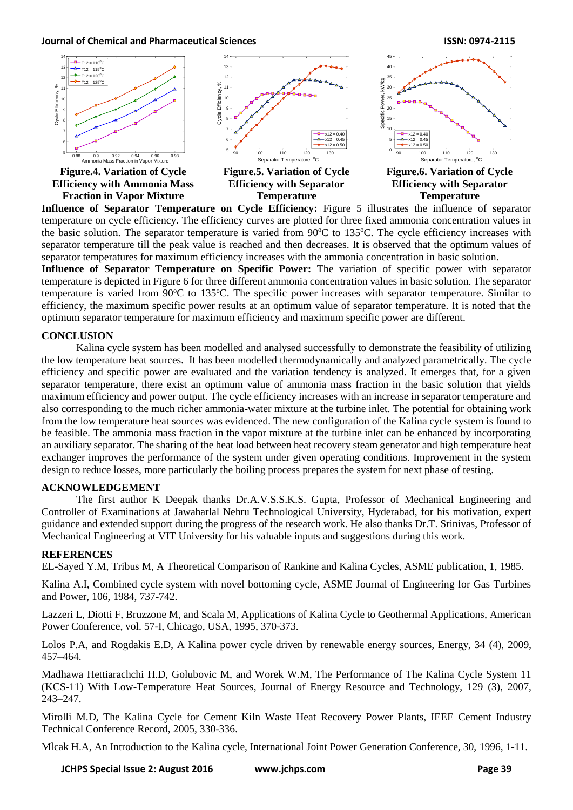

**Influence of Separator Temperature on Cycle Efficiency:** Figure 5 illustrates the influence of separator temperature on cycle efficiency. The efficiency curves are plotted for three fixed ammonia concentration values in the basic solution. The separator temperature is varied from  $90^{\circ}$ C to 135 $^{\circ}$ C. The cycle efficiency increases with separator temperature till the peak value is reached and then decreases. It is observed that the optimum values of separator temperatures for maximum efficiency increases with the ammonia concentration in basic solution.

**Influence of Separator Temperature on Specific Power:** The variation of specific power with separator temperature is depicted in Figure 6 for three different ammonia concentration values in basic solution. The separator temperature is varied from 90°C to 135°C. The specific power increases with separator temperature. Similar to efficiency, the maximum specific power results at an optimum value of separator temperature. It is noted that the optimum separator temperature for maximum efficiency and maximum specific power are different.

## **CONCLUSION**

Kalina cycle system has been modelled and analysed successfully to demonstrate the feasibility of utilizing the low temperature heat sources. It has been modelled thermodynamically and analyzed parametrically. The cycle efficiency and specific power are evaluated and the variation tendency is analyzed. It emerges that, for a given separator temperature, there exist an optimum value of ammonia mass fraction in the basic solution that yields maximum efficiency and power output. The cycle efficiency increases with an increase in separator temperature and also corresponding to the much richer ammonia-water mixture at the turbine inlet. The potential for obtaining work from the low temperature heat sources was evidenced. The new configuration of the Kalina cycle system is found to be feasible. The ammonia mass fraction in the vapor mixture at the turbine inlet can be enhanced by incorporating an auxiliary separator. The sharing of the heat load between heat recovery steam generator and high temperature heat exchanger improves the performance of the system under given operating conditions. Improvement in the system design to reduce losses, more particularly the boiling process prepares the system for next phase of testing.

#### **ACKNOWLEDGEMENT**

The first author K Deepak thanks Dr.A.V.S.S.K.S. Gupta, Professor of Mechanical Engineering and Controller of Examinations at Jawaharlal Nehru Technological University, Hyderabad, for his motivation, expert guidance and extended support during the progress of the research work. He also thanks Dr.T. Srinivas, Professor of Mechanical Engineering at VIT University for his valuable inputs and suggestions during this work.

#### **REFERENCES**

EL-Sayed Y.M, Tribus M, A Theoretical Comparison of Rankine and Kalina Cycles, ASME publication, 1, 1985.

Kalina A.I, Combined cycle system with novel bottoming cycle, ASME Journal of Engineering for Gas Turbines and Power, 106, 1984, 737-742.

Lazzeri L, Diotti F, Bruzzone M, and Scala M, Applications of Kalina Cycle to Geothermal Applications, American Power Conference, vol. 57-I, Chicago, USA, 1995, 370-373.

Lolos P.A, and Rogdakis E.D, A Kalina power cycle driven by renewable energy sources, Energy, 34 (4), 2009, 457–464.

Madhawa Hettiarachchi H.D, Golubovic M, and Worek W.M, The Performance of The Kalina Cycle System 11 (KCS-11) With Low-Temperature Heat Sources, Journal of Energy Resource and Technology, 129 (3), 2007, 243–247.

Mirolli M.D, The Kalina Cycle for Cement Kiln Waste Heat Recovery Power Plants, IEEE Cement Industry Technical Conference Record, 2005, 330-336.

Mlcak H.A, An Introduction to the Kalina cycle, International Joint Power Generation Conference, 30, 1996, 1-11.